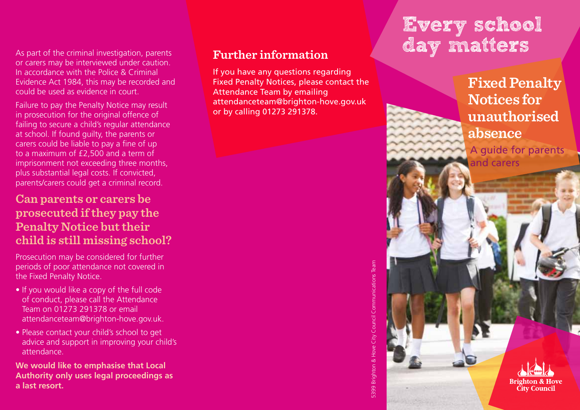As part of the criminal investigation, parents or carers may be interviewed under caution. In accordance with the Police & Criminal Evidence Act 1984, this may be recorded and could be used as evidence in court.

Failure to pay the Penalty Notice may result in prosecution for the original offence of failing to secure a child's regular attendance at school. If found guilty, the parents or carers could be liable to pay a fine of up to a maximum of £2,500 and a term of imprisonment not exceeding three months, plus substantial legal costs. If convicted, parents/carers could get a criminal record.

# **Can parents or carers be prosecuted if they pay the Penalty Notice but their child is still missing school?**

Prosecution may be considered for further periods of poor attendance not covered in the Fixed Penalty Notice.

- If you would like a copy of the full code of conduct, please call the Attendance Team on 01273 291378 or email attendanceteam@brighton-hove.gov.uk.
- Please contact your child's school to get advice and support in improving your child's attendance.

**We would like to emphasise that Local Authority only uses legal proceedings as a last resort.**

## **Further information**

If you have any questions regarding Fixed Penalty Notices, please contact the Attendance Team by emailing attendanceteam@brighton-hove.gov.uk or by calling 01273 291378.

# 5399 Brighton & Hove City Council Communications Team 5399 Brighton & Hove City Council Communications Team

# Every school day matters

**Fixed Penalty Notices for unauthorised absence**

A guide for parents and carers